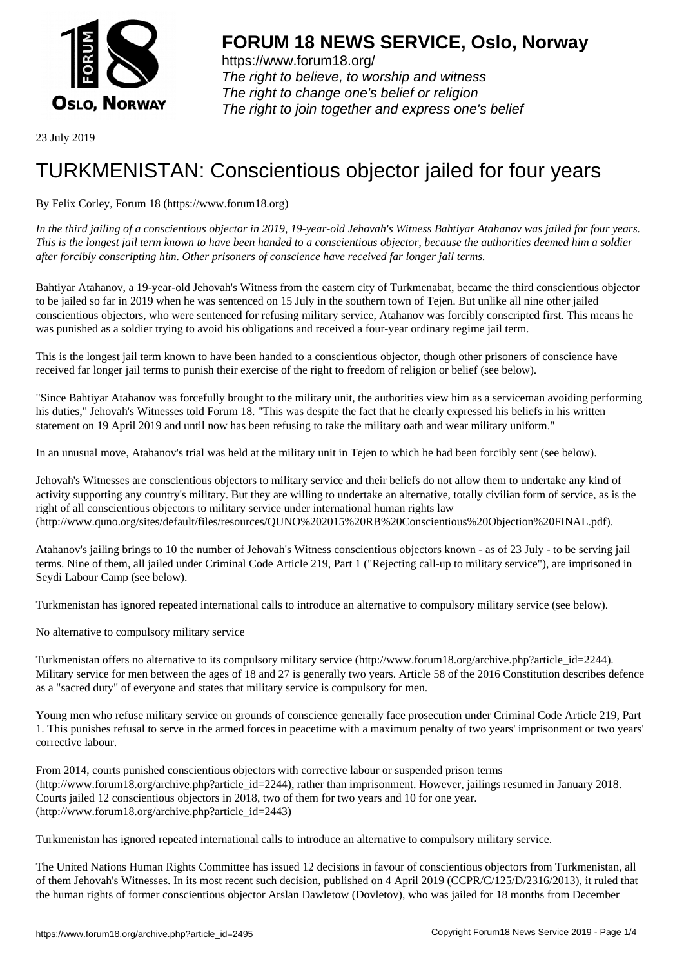

https://www.forum18.org/ The right to believe, to worship and witness The right to change one's belief or religion [The right to join together a](https://www.forum18.org/)nd express one's belief

23 July 2019

## [TURKMENISTA](https://www.forum18.org)N: Conscientious objector jailed for four years

## By Felix Corley, Forum 18 (https://www.forum18.org)

*In the third jailing of a conscientious objector in 2019, 19-year-old Jehovah's Witness Bahtiyar Atahanov was jailed for four years. This is the longest jail term known to have been handed to a conscientious objector, because the authorities deemed him a soldier after forcibly conscripting him. Other prisoners of conscience have received far longer jail terms.*

Bahtiyar Atahanov, a 19-year-old Jehovah's Witness from the eastern city of Turkmenabat, became the third conscientious objector to be jailed so far in 2019 when he was sentenced on 15 July in the southern town of Tejen. But unlike all nine other jailed conscientious objectors, who were sentenced for refusing military service, Atahanov was forcibly conscripted first. This means he was punished as a soldier trying to avoid his obligations and received a four-year ordinary regime jail term.

This is the longest jail term known to have been handed to a conscientious objector, though other prisoners of conscience have received far longer jail terms to punish their exercise of the right to freedom of religion or belief (see below).

"Since Bahtiyar Atahanov was forcefully brought to the military unit, the authorities view him as a serviceman avoiding performing his duties," Jehovah's Witnesses told Forum 18. "This was despite the fact that he clearly expressed his beliefs in his written statement on 19 April 2019 and until now has been refusing to take the military oath and wear military uniform."

In an unusual move, Atahanov's trial was held at the military unit in Tejen to which he had been forcibly sent (see below).

Jehovah's Witnesses are conscientious objectors to military service and their beliefs do not allow them to undertake any kind of activity supporting any country's military. But they are willing to undertake an alternative, totally civilian form of service, as is the right of all conscientious objectors to military service under international human rights law (http://www.quno.org/sites/default/files/resources/QUNO%202015%20RB%20Conscientious%20Objection%20FINAL.pdf).

Atahanov's jailing brings to 10 the number of Jehovah's Witness conscientious objectors known - as of 23 July - to be serving jail terms. Nine of them, all jailed under Criminal Code Article 219, Part 1 ("Rejecting call-up to military service"), are imprisoned in Seydi Labour Camp (see below).

Turkmenistan has ignored repeated international calls to introduce an alternative to compulsory military service (see below).

No alternative to compulsory military service

Turkmenistan offers no alternative to its compulsory military service (http://www.forum18.org/archive.php?article\_id=2244). Military service for men between the ages of 18 and 27 is generally two years. Article 58 of the 2016 Constitution describes defence as a "sacred duty" of everyone and states that military service is compulsory for men.

Young men who refuse military service on grounds of conscience generally face prosecution under Criminal Code Article 219, Part 1. This punishes refusal to serve in the armed forces in peacetime with a maximum penalty of two years' imprisonment or two years' corrective labour.

From 2014, courts punished conscientious objectors with corrective labour or suspended prison terms (http://www.forum18.org/archive.php?article\_id=2244), rather than imprisonment. However, jailings resumed in January 2018. Courts jailed 12 conscientious objectors in 2018, two of them for two years and 10 for one year. (http://www.forum18.org/archive.php?article\_id=2443)

Turkmenistan has ignored repeated international calls to introduce an alternative to compulsory military service.

The United Nations Human Rights Committee has issued 12 decisions in favour of conscientious objectors from Turkmenistan, all of them Jehovah's Witnesses. In its most recent such decision, published on 4 April 2019 (CCPR/C/125/D/2316/2013), it ruled that the human rights of former conscientious objector Arslan Dawletow (Dovletov), who was jailed for 18 months from December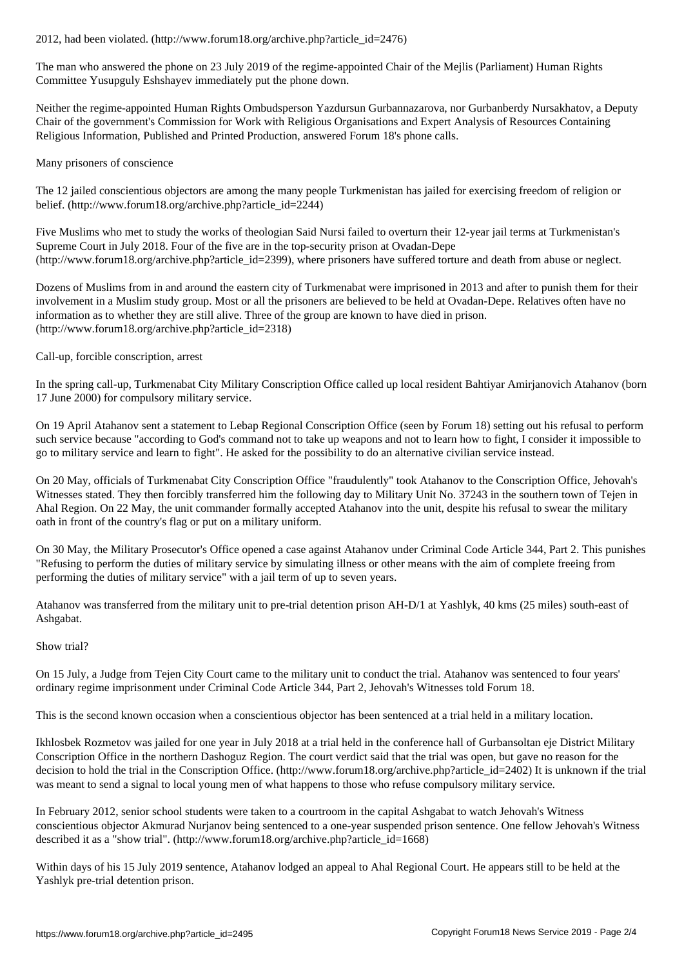The man who answered the phone on 23 July 2019 of the regime-appointed Chair of the Mejlis (Parliament) Human Rights Committee Yusupguly Eshshayev immediately put the phone down.

Neither the regime-appointed Human Rights Ombudsperson Yazdursun Gurbannazarova, nor Gurbanberdy Nursakhatov, a Deputy Chair of the government's Commission for Work with Religious Organisations and Expert Analysis of Resources Containing Religious Information, Published and Printed Production, answered Forum 18's phone calls.

Many prisoners of conscience

The 12 jailed conscientious objectors are among the many people Turkmenistan has jailed for exercising freedom of religion or belief. (http://www.forum18.org/archive.php?article\_id=2244)

Five Muslims who met to study the works of theologian Said Nursi failed to overturn their 12-year jail terms at Turkmenistan's Supreme Court in July 2018. Four of the five are in the top-security prison at Ovadan-Depe (http://www.forum18.org/archive.php?article\_id=2399), where prisoners have suffered torture and death from abuse or neglect.

Dozens of Muslims from in and around the eastern city of Turkmenabat were imprisoned in 2013 and after to punish them for their involvement in a Muslim study group. Most or all the prisoners are believed to be held at Ovadan-Depe. Relatives often have no information as to whether they are still alive. Three of the group are known to have died in prison. (http://www.forum18.org/archive.php?article\_id=2318)

Call-up, forcible conscription, arrest

In the spring call-up, Turkmenabat City Military Conscription Office called up local resident Bahtiyar Amirjanovich Atahanov (born 17 June 2000) for compulsory military service.

On 19 April Atahanov sent a statement to Lebap Regional Conscription Office (seen by Forum 18) setting out his refusal to perform such service because "according to God's command not to take up weapons and not to learn how to fight, I consider it impossible to go to military service and learn to fight". He asked for the possibility to do an alternative civilian service instead.

On 20 May, officials of Turkmenabat City Conscription Office "fraudulently" took Atahanov to the Conscription Office, Jehovah's Witnesses stated. They then forcibly transferred him the following day to Military Unit No. 37243 in the southern town of Tejen in Ahal Region. On 22 May, the unit commander formally accepted Atahanov into the unit, despite his refusal to swear the military oath in front of the country's flag or put on a military uniform.

On 30 May, the Military Prosecutor's Office opened a case against Atahanov under Criminal Code Article 344, Part 2. This punishes "Refusing to perform the duties of military service by simulating illness or other means with the aim of complete freeing from performing the duties of military service" with a jail term of up to seven years.

Atahanov was transferred from the military unit to pre-trial detention prison AH-D/1 at Yashlyk, 40 kms (25 miles) south-east of Ashgabat.

## Show trial?

On 15 July, a Judge from Tejen City Court came to the military unit to conduct the trial. Atahanov was sentenced to four years' ordinary regime imprisonment under Criminal Code Article 344, Part 2, Jehovah's Witnesses told Forum 18.

This is the second known occasion when a conscientious objector has been sentenced at a trial held in a military location.

Ikhlosbek Rozmetov was jailed for one year in July 2018 at a trial held in the conference hall of Gurbansoltan eje District Military Conscription Office in the northern Dashoguz Region. The court verdict said that the trial was open, but gave no reason for the decision to hold the trial in the Conscription Office. (http://www.forum18.org/archive.php?article\_id=2402) It is unknown if the trial was meant to send a signal to local young men of what happens to those who refuse compulsory military service.

In February 2012, senior school students were taken to a courtroom in the capital Ashgabat to watch Jehovah's Witness conscientious objector Akmurad Nurjanov being sentenced to a one-year suspended prison sentence. One fellow Jehovah's Witness described it as a "show trial". (http://www.forum18.org/archive.php?article\_id=1668)

Within days of his 15 July 2019 sentence, Atahanov lodged an appeal to Ahal Regional Court. He appears still to be held at the Yashlyk pre-trial detention prison.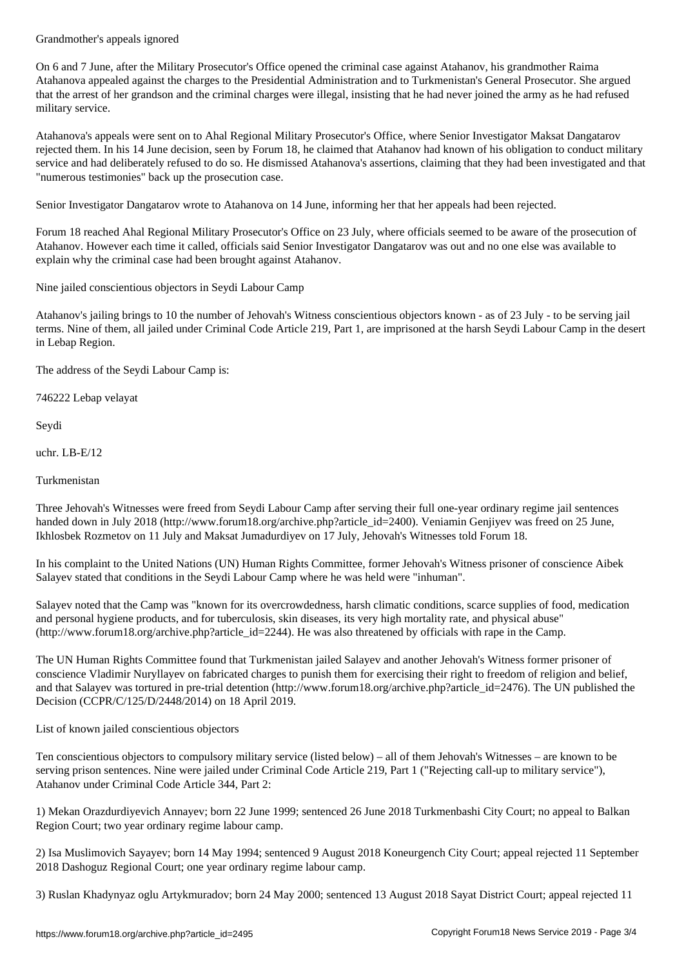On 6 and 7 June, after the Military Prosecutor's Office opened the criminal case against Atahanov, his grandmother Raima Atahanova appealed against the charges to the Presidential Administration and to Turkmenistan's General Prosecutor. She argued that the arrest of her grandson and the criminal charges were illegal, insisting that he had never joined the army as he had refused military service.

Atahanova's appeals were sent on to Ahal Regional Military Prosecutor's Office, where Senior Investigator Maksat Dangatarov rejected them. In his 14 June decision, seen by Forum 18, he claimed that Atahanov had known of his obligation to conduct military service and had deliberately refused to do so. He dismissed Atahanova's assertions, claiming that they had been investigated and that "numerous testimonies" back up the prosecution case.

Senior Investigator Dangatarov wrote to Atahanova on 14 June, informing her that her appeals had been rejected.

Forum 18 reached Ahal Regional Military Prosecutor's Office on 23 July, where officials seemed to be aware of the prosecution of Atahanov. However each time it called, officials said Senior Investigator Dangatarov was out and no one else was available to explain why the criminal case had been brought against Atahanov.

Nine jailed conscientious objectors in Seydi Labour Camp

Atahanov's jailing brings to 10 the number of Jehovah's Witness conscientious objectors known - as of 23 July - to be serving jail terms. Nine of them, all jailed under Criminal Code Article 219, Part 1, are imprisoned at the harsh Seydi Labour Camp in the desert in Lebap Region.

The address of the Seydi Labour Camp is:

746222 Lebap velayat

Seydi

uchr. LB-E/12

Turkmenistan

Three Jehovah's Witnesses were freed from Seydi Labour Camp after serving their full one-year ordinary regime jail sentences handed down in July 2018 (http://www.forum18.org/archive.php?article\_id=2400). Veniamin Genjiyev was freed on 25 June, Ikhlosbek Rozmetov on 11 July and Maksat Jumadurdiyev on 17 July, Jehovah's Witnesses told Forum 18.

In his complaint to the United Nations (UN) Human Rights Committee, former Jehovah's Witness prisoner of conscience Aibek Salayev stated that conditions in the Seydi Labour Camp where he was held were "inhuman".

Salayev noted that the Camp was "known for its overcrowdedness, harsh climatic conditions, scarce supplies of food, medication and personal hygiene products, and for tuberculosis, skin diseases, its very high mortality rate, and physical abuse" (http://www.forum18.org/archive.php?article\_id=2244). He was also threatened by officials with rape in the Camp.

The UN Human Rights Committee found that Turkmenistan jailed Salayev and another Jehovah's Witness former prisoner of conscience Vladimir Nuryllayev on fabricated charges to punish them for exercising their right to freedom of religion and belief, and that Salayev was tortured in pre-trial detention (http://www.forum18.org/archive.php?article\_id=2476). The UN published the Decision (CCPR/C/125/D/2448/2014) on 18 April 2019.

List of known jailed conscientious objectors

Ten conscientious objectors to compulsory military service (listed below) – all of them Jehovah's Witnesses – are known to be serving prison sentences. Nine were jailed under Criminal Code Article 219, Part 1 ("Rejecting call-up to military service"), Atahanov under Criminal Code Article 344, Part 2:

1) Mekan Orazdurdiyevich Annayev; born 22 June 1999; sentenced 26 June 2018 Turkmenbashi City Court; no appeal to Balkan Region Court; two year ordinary regime labour camp.

2) Isa Muslimovich Sayayev; born 14 May 1994; sentenced 9 August 2018 Koneurgench City Court; appeal rejected 11 September 2018 Dashoguz Regional Court; one year ordinary regime labour camp.

3) Ruslan Khadynyaz oglu Artykmuradov; born 24 May 2000; sentenced 13 August 2018 Sayat District Court; appeal rejected 11